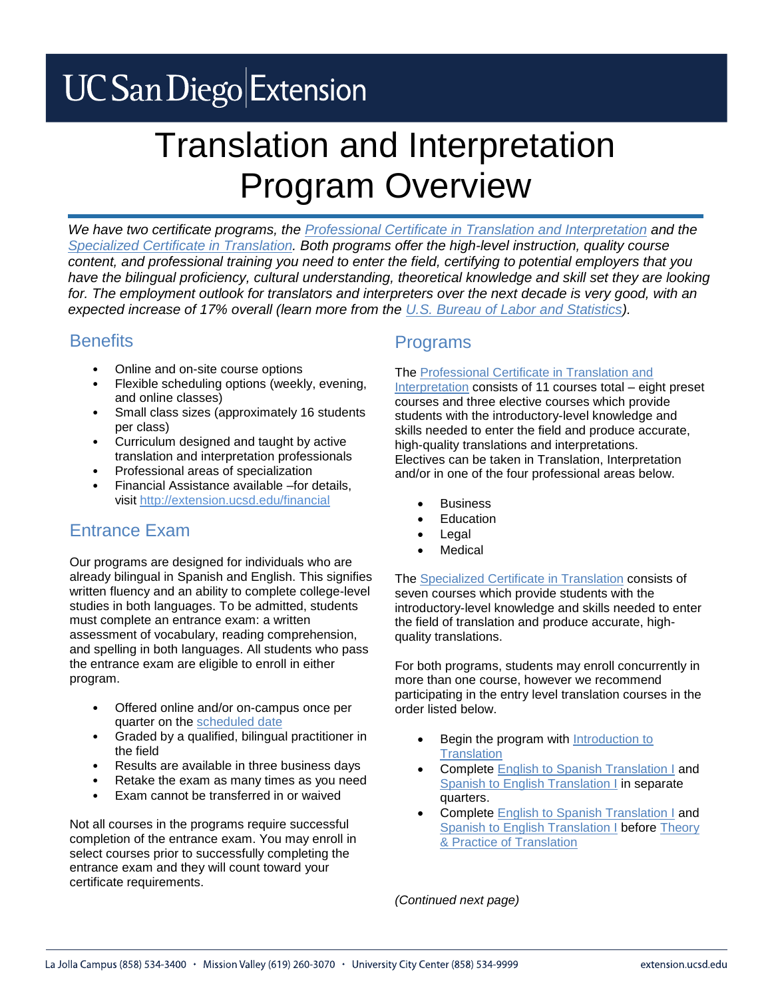# **UC San Diego Extension**

# Translation and Interpretation Program Overview

*We have two certificate programs, the [Professional Certificate in Translation and Interpretation](http://extension.ucsd.edu/interpretation) and the [Specialized Certificate in Translation.](http://extension.ucsd.edu/translation) Both programs offer the high-level instruction, quality course content, and professional training you need to enter the field, certifying to potential employers that you*  have the bilingual proficiency, cultural understanding, theoretical knowledge and skill set they are looking for. The employment outlook for translators and interpreters over the next decade is very good, with an *expected increase of 17% overall (learn more from the [U.S. Bureau of Labor and Statistics\)](http://www.bls.gov/ooh/media-and-communication/interpreters-and-translators.htm).*

### **Benefits**

- Online and on-site course options
- Flexible scheduling options (weekly, evening, and online classes)
- Small class sizes (approximately 16 students per class)
- Curriculum designed and taught by active translation and interpretation professionals
- Professional areas of specialization
- Financial Assistance available –for details, visit [http://extension.ucsd.edu/financial](http://extension.ucsd.edu/Student/index.cfm?vAction=financial)

## Entrance Exam

Our programs are designed for individuals who are already bilingual in Spanish and English. This signifies written fluency and an ability to complete college-level studies in both languages. To be admitted, students must complete an entrance exam: a written assessment of vocabulary, reading comprehension, and spelling in both languages. All students who pass the entrance exam are eligible to enroll in either program.

- Offered online and/or on-campus once per quarter on the [scheduled date](http://extension.ucsd.edu/studyarea/index.cfm?vAction=singleCourse&vCourse=EXAM-80002&vStudyAreaID=15)
- Graded by a qualified, bilingual practitioner in the field
- Results are available in three business days
- Retake the exam as many times as you need
- Exam cannot be transferred in or waived

Not all courses in the programs require successful completion of the entrance exam. You may enroll in select courses prior to successfully completing the entrance exam and they will count toward your certificate requirements.

### Programs

#### The [Professional Certificate in Translation and](http://extension.ucsd.edu/interpretation)

[Interpretation](http://extension.ucsd.edu/interpretation) consists of 11 courses total – eight preset courses and three elective courses which provide students with the introductory-level knowledge and skills needed to enter the field and produce accurate, high-quality translations and interpretations. Electives can be taken in Translation, Interpretation and/or in one of the four professional areas below.

- **Business**
- Education
- Legal
- Medical

The [Specialized Certificate in Translation](http://extension.ucsd.edu/translation) consists of seven courses which provide students with the introductory-level knowledge and skills needed to enter the field of translation and produce accurate, highquality translations.

For both programs, students may enroll concurrently in more than one course, however we recommend participating in the entry level translation courses in the order listed below.

- Begin the program with Introduction to **[Translation](http://extension.ucsd.edu/studyarea/index.cfm?vAction=singleCourse&vCourse=LING-40106&vStudyAreaID=110)**
- Complete [English to Spanish Translation I](http://extension.ucsd.edu/studyarea/index.cfm?vAction=singleCourse&vCourse=LING-40039&vStudyAreaID=110) and [Spanish to English Translation I](http://extension.ucsd.edu/studyarea/index.cfm?vAction=singleCourse&vCourse=LING-40040&vStudyAreaID=110) in separate quarters.
- Complete [English to Spanish Translation I](http://extension.ucsd.edu/studyarea/index.cfm?vAction=singleCourse&vCourse=LING-40039&vStudyAreaID=110) and [Spanish to English Translation I](http://extension.ucsd.edu/studyarea/index.cfm?vAction=singleCourse&vCourse=LING-40040&vStudyAreaID=110) before [Theory](http://extension.ucsd.edu/studyarea/index.cfm?vAction=singleCourse&vCourse=LING-40004&vStudyAreaID=110)  [& Practice of Translation](http://extension.ucsd.edu/studyarea/index.cfm?vAction=singleCourse&vCourse=LING-40004&vStudyAreaID=110)

*(Continued next page)*